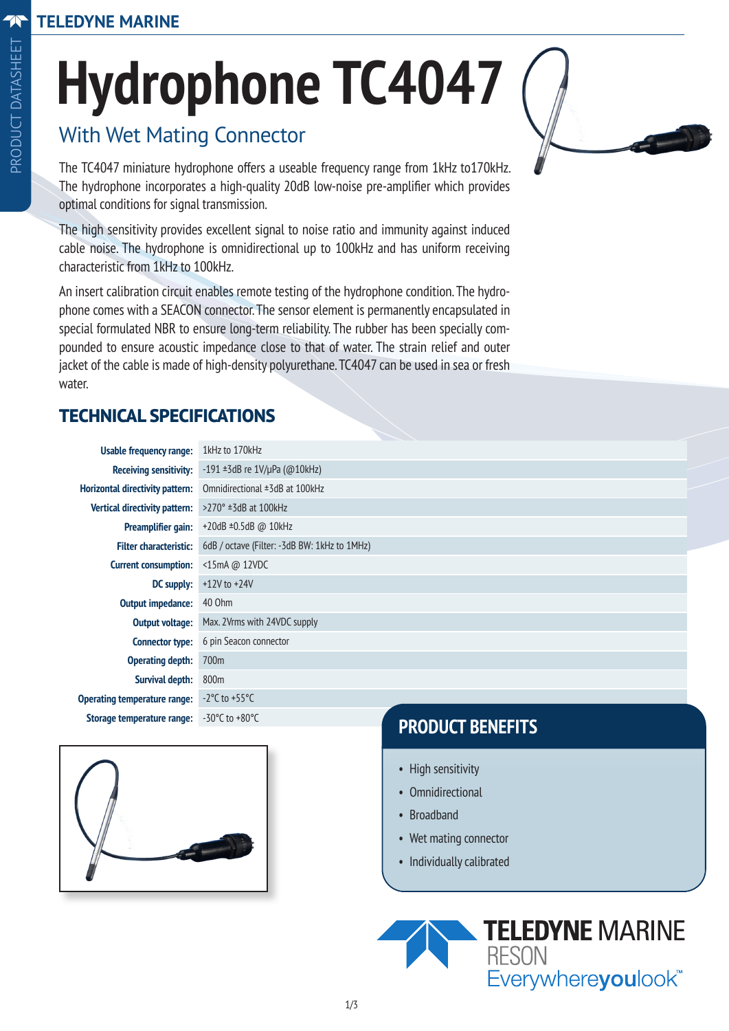# **Hydrophone TC4047**

## With Wet Mating Connector

The TC4047 miniature hydrophone offers a useable frequency range from 1kHz to170kHz. The hydrophone incorporates a high-quality 20dB low-noise pre-amplifier which provides optimal conditions for signal transmission.

The high sensitivity provides excellent signal to noise ratio and immunity against induced cable noise. The hydrophone is omnidirectional up to 100kHz and has uniform receiving characteristic from 1kHz to 100kHz.

An insert calibration circuit enables remote testing of the hydrophone condition. The hydrophone comes with a SEACON connector. The sensor element is permanently encapsulated in special formulated NBR to ensure long-term reliability. The rubber has been specially compounded to ensure acoustic impedance close to that of water. The strain relief and outer jacket of the cable is made of high-density polyurethane. TC4047 can be used in sea or fresh water.

## **TECHNICAL SPECIFICATIONS**

| Usable frequency range:                | 1kHz to 170kHz                                         |
|----------------------------------------|--------------------------------------------------------|
| <b>Receiving sensitivity:</b>          | $-191 \pm 3$ dB re $1V/\mu$ Pa (@10kHz)                |
| <b>Horizontal directivity pattern:</b> | Omnidirectional ±3dB at 100kHz                         |
| Vertical directivity pattern:          | $>270^\circ$ ±3dB at 100kHz                            |
| <b>Preamplifier gain:</b>              | $+20$ dB $\pm 0.5$ dB @ 10kHz                          |
| <b>Filter characteristic:</b>          | 6dB / octave (Filter: -3dB BW: 1kHz to 1MHz)           |
| <b>Current consumption:</b>            | $\leq$ 15mA @ 12VDC                                    |
| <b>DC</b> supply:                      | $+12V$ to $+24V$                                       |
| <b>Output impedance:</b>               | 40 Ohm                                                 |
| <b>Output voltage:</b>                 | Max. 2Vrms with 24VDC supply                           |
| <b>Connector type:</b>                 | 6 pin Seacon connector                                 |
| <b>Operating depth:</b>                | 700m                                                   |
| Survival depth:                        | 800m                                                   |
| <b>Operating temperature range:</b>    | $-2^{\circ}$ C to $+55^{\circ}$ C                      |
| Storage temperature range:             | $-30^{\circ}$ C to $+80^{\circ}$ C<br>BBABUAT BENEELTA |



## **PRODUCT BENEFITS**

- High sensitivity
- Omnidirectional
- Broadband
- Wet mating connector
- Individually calibrated

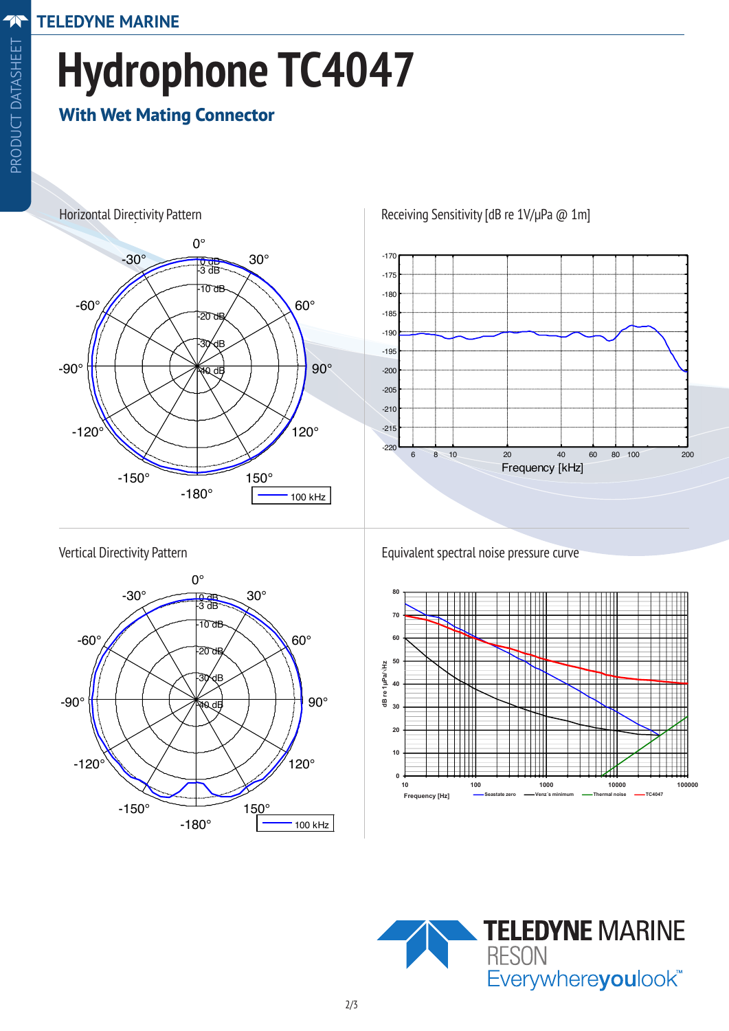## **Hydrophone TC4047** Hydrophone TC4047  $\overline{A}$ Hydrophone TC4047  $\bullet$  H<sub>a</sub> $\bullet$ <sub>11</sub>

Horizontal Directivity Pattern Receiving Sensitivity [dB re 1V/µPa @ 1m]

Horizontal Directivity Pattern Receiving Sensitivity  $P$  receiving  $S$  receiving  $S$  . The 1V/ $\mu$ 

## **With Wet Mating Connector**



Horizontal Directivity Pattern Receiving Sensitivity  $P$  receiving  $S$  receiving  $S$ 



#### Vertical Directivity Pattern Vertical Directivity Pattern Vertical Directivity Pattern



Equivalent spectral noise pressure curve